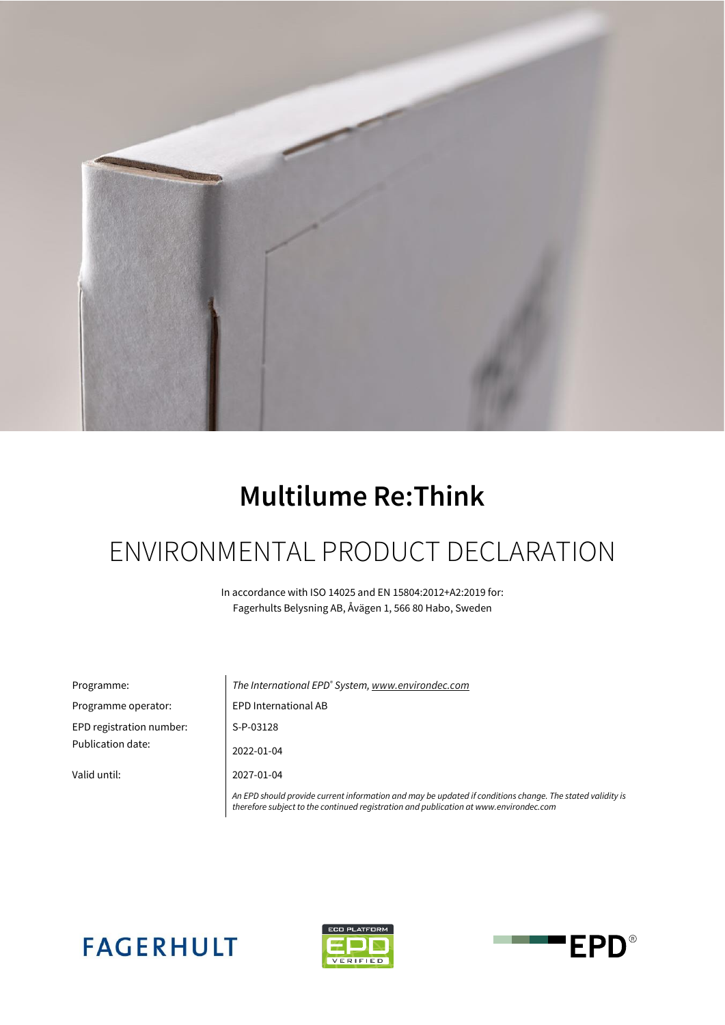

# **Multilume Re:Think**

# ENVIRONMENTAL PRODUCT DECLARATION

In accordance with ISO 14025 and EN 15804:2012+A2:2019 for: Fagerhults Belysning AB, Åvägen 1, 566 80 Habo, Sweden

| Programme:               | The International EPD <sup>®</sup> System, www.environdec.com                                                                                                                                      |  |  |  |  |  |  |
|--------------------------|----------------------------------------------------------------------------------------------------------------------------------------------------------------------------------------------------|--|--|--|--|--|--|
| Programme operator:      | <b>EPD International AB</b>                                                                                                                                                                        |  |  |  |  |  |  |
| EPD registration number: | S-P-03128                                                                                                                                                                                          |  |  |  |  |  |  |
| Publication date:        | 2022-01-04                                                                                                                                                                                         |  |  |  |  |  |  |
| Valid until:             | 2027-01-04                                                                                                                                                                                         |  |  |  |  |  |  |
|                          | An EPD should provide current information and may be updated if conditions change. The stated validity is<br>therefore subject to the continued registration and publication at www.environdec.com |  |  |  |  |  |  |





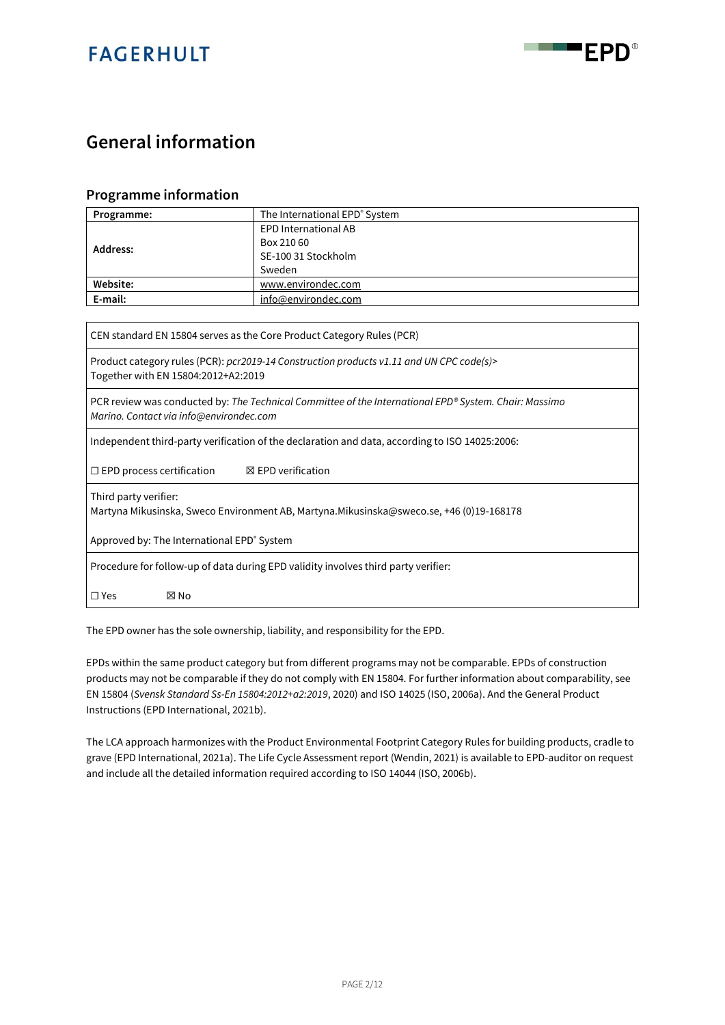



### **General information**

#### **Programme information**

| Programme: | The International EPD® System |  |  |  |  |  |  |
|------------|-------------------------------|--|--|--|--|--|--|
|            | <b>EPD International AB</b>   |  |  |  |  |  |  |
| Address:   | Box 210 60                    |  |  |  |  |  |  |
|            | SE-100 31 Stockholm           |  |  |  |  |  |  |
|            | Sweden                        |  |  |  |  |  |  |
| Website:   | www.environdec.com            |  |  |  |  |  |  |
| E-mail:    | info@environdec.com           |  |  |  |  |  |  |

CEN standard EN 15804 serves as the Core Product Category Rules (PCR)

Product category rules (PCR): *pcr2019-14 Construction products v1.11 and UN CPC code(s)>* Together with EN 15804:2012+A2:2019

PCR review was conducted by: *The Technical Committee of the International EPD® System. Chair: Massimo Marino. Contact via info@environdec.com*

Independent third-party verification of the declaration and data, according to ISO 14025:2006:

☐ EPD process certification ☒ EPD verification

Third party verifier:

Martyna Mikusinska, Sweco Environment AB, Martyna.Mikusinska@sweco.se, +46 (0)19-168178

Approved by: The International EPD<sup>®</sup> System

Procedure for follow-up of data during EPD validity involves third party verifier:

☐ Yes ☒ No

The EPD owner has the sole ownership, liability, and responsibility for the EPD.

EPDs within the same product category but from different programs may not be comparable. EPDs of construction products may not be comparable if they do not comply with EN 15804. For further information about comparability, see EN 15804 (*Svensk Standard Ss-En 15804:2012+a2:2019*, 2020) and ISO 14025 (ISO, 2006a). And the General Product Instructions (EPD International, 2021b).

The LCA approach harmonizes with the Product Environmental Footprint Category Rules for building products, cradle to grave (EPD International, 2021a). The Life Cycle Assessment report (Wendin, 2021) is available to EPD-auditor on request and include all the detailed information required according to ISO 14044 (ISO, 2006b).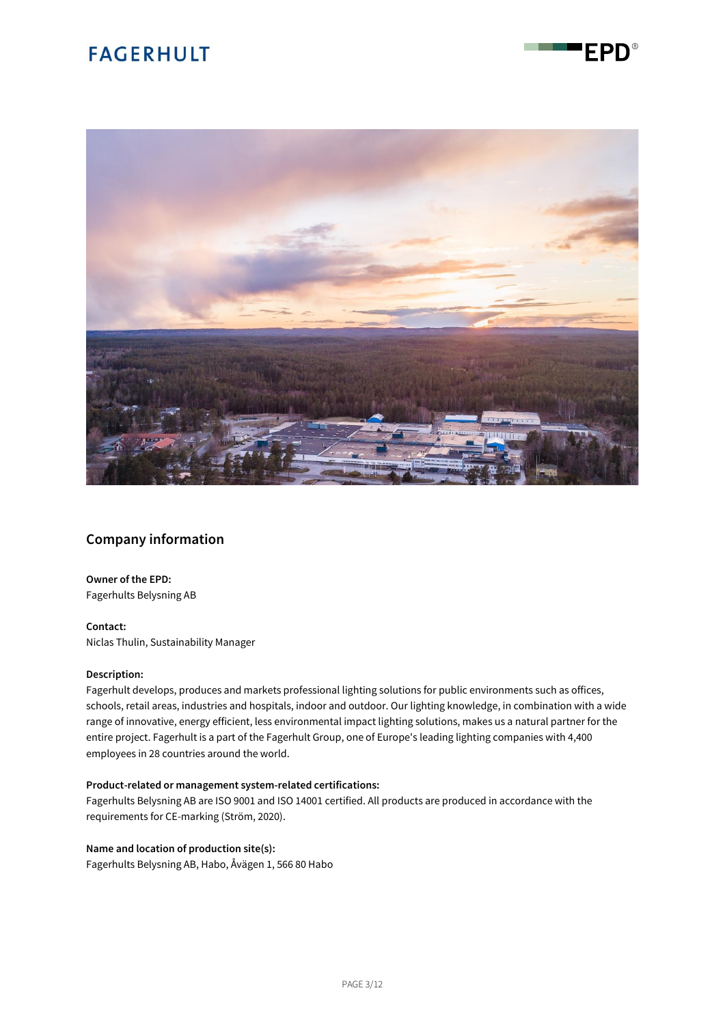

FPD®

### **Company information**

**Owner of the EPD:** Fagerhults Belysning AB

**Contact:** Niclas Thulin, Sustainability Manager

#### **Description:**

Fagerhult develops, produces and markets professional lighting solutions for public environments such as offices, schools, retail areas, industries and hospitals, indoor and outdoor. Our lighting knowledge, in combination with a wide range of innovative, energy efficient, less environmental impact lighting solutions, makes us a natural partner for the entire project. Fagerhult is a part of the Fagerhult Group, one of Europe's leading lighting companies with 4,400 employees in 28 countries around the world.

#### **Product-related or management system-related certifications:**

Fagerhults Belysning AB are ISO 9001 and ISO 14001 certified. All products are produced in accordance with the requirements for CE-marking (Ström, 2020).

#### **Name and location of production site(s):**

Fagerhults Belysning AB, Habo, Åvägen 1, 566 80 Habo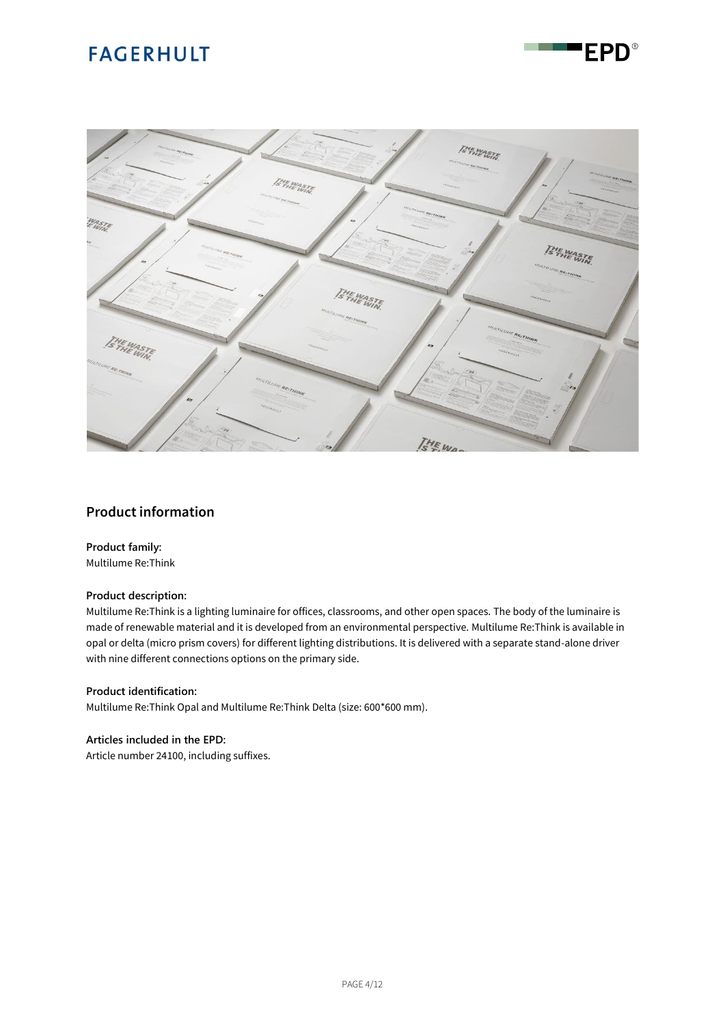

"EPD®

### **Product information**

#### **Product family:**

Multilume Re:Think

#### **Product description:**

Multilume Re:Think is a lighting luminaire for offices, classrooms, and other open spaces. The body of the luminaire is made of renewable material and it is developed from an environmental perspective. Multilume Re:Think is available in opal or delta (micro prism covers) for different lighting distributions. It is delivered with a separate stand-alone driver with nine different connections options on the primary side.

#### **Product identification:**

Multilume Re:Think Opal and Multilume Re:Think Delta (size: 600\*600 mm).

#### **Articles included in the EPD:**

Article number 24100, including suffixes.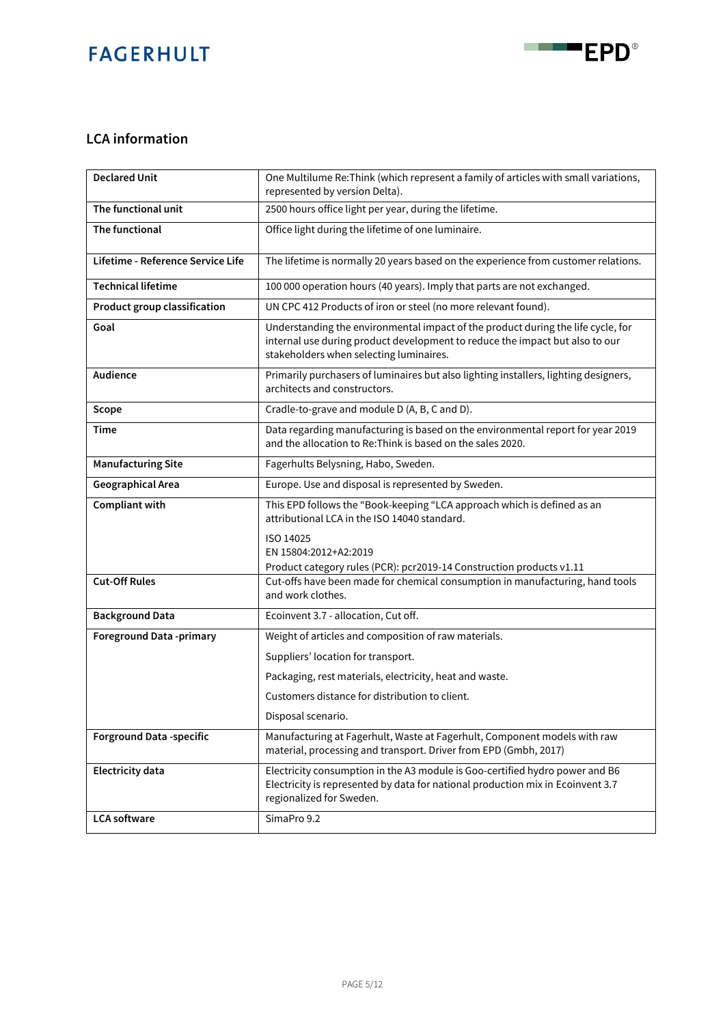

### **LCA information**

| <b>Declared Unit</b>              | One Multilume Re: Think (which represent a family of articles with small variations,<br>represented by version Delta).                                                                                      |
|-----------------------------------|-------------------------------------------------------------------------------------------------------------------------------------------------------------------------------------------------------------|
| The functional unit               | 2500 hours office light per year, during the lifetime.                                                                                                                                                      |
| The functional                    | Office light during the lifetime of one luminaire.                                                                                                                                                          |
| Lifetime - Reference Service Life | The lifetime is normally 20 years based on the experience from customer relations.                                                                                                                          |
| <b>Technical lifetime</b>         | 100 000 operation hours (40 years). Imply that parts are not exchanged.                                                                                                                                     |
| Product group classification      | UN CPC 412 Products of iron or steel (no more relevant found).                                                                                                                                              |
| Goal                              | Understanding the environmental impact of the product during the life cycle, for<br>internal use during product development to reduce the impact but also to our<br>stakeholders when selecting luminaires. |
| Audience                          | Primarily purchasers of luminaires but also lighting installers, lighting designers,<br>architects and constructors.                                                                                        |
| Scope                             | Cradle-to-grave and module D (A, B, C and D).                                                                                                                                                               |
| Time                              | Data regarding manufacturing is based on the environmental report for year 2019<br>and the allocation to Re: Think is based on the sales 2020.                                                              |
| <b>Manufacturing Site</b>         | Fagerhults Belysning, Habo, Sweden.                                                                                                                                                                         |
| Geographical Area                 | Europe. Use and disposal is represented by Sweden.                                                                                                                                                          |
| Compliant with                    | This EPD follows the "Book-keeping "LCA approach which is defined as an<br>attributional LCA in the ISO 14040 standard.                                                                                     |
|                                   | ISO 14025<br>EN 15804:2012+A2:2019                                                                                                                                                                          |
|                                   | Product category rules (PCR): pcr2019-14 Construction products v1.11                                                                                                                                        |
| <b>Cut-Off Rules</b>              | Cut-offs have been made for chemical consumption in manufacturing, hand tools<br>and work clothes.                                                                                                          |
| <b>Background Data</b>            | Ecoinvent 3.7 - allocation, Cut off.                                                                                                                                                                        |
| <b>Foreground Data -primary</b>   | Weight of articles and composition of raw materials.                                                                                                                                                        |
|                                   | Suppliers' location for transport.                                                                                                                                                                          |
|                                   | Packaging, rest materials, electricity, heat and waste.                                                                                                                                                     |
|                                   | Customers distance for distribution to client.                                                                                                                                                              |
|                                   | Disposal scenario.                                                                                                                                                                                          |
| <b>Forground Data -specific</b>   | Manufacturing at Fagerhult, Waste at Fagerhult, Component models with raw<br>material, processing and transport. Driver from EPD (Gmbh, 2017)                                                               |
| <b>Electricity data</b>           | Electricity consumption in the A3 module is Goo-certified hydro power and B6<br>Electricity is represented by data for national production mix in Ecoinvent 3.7<br>regionalized for Sweden.                 |
| <b>LCA</b> software               | SimaPro 9.2                                                                                                                                                                                                 |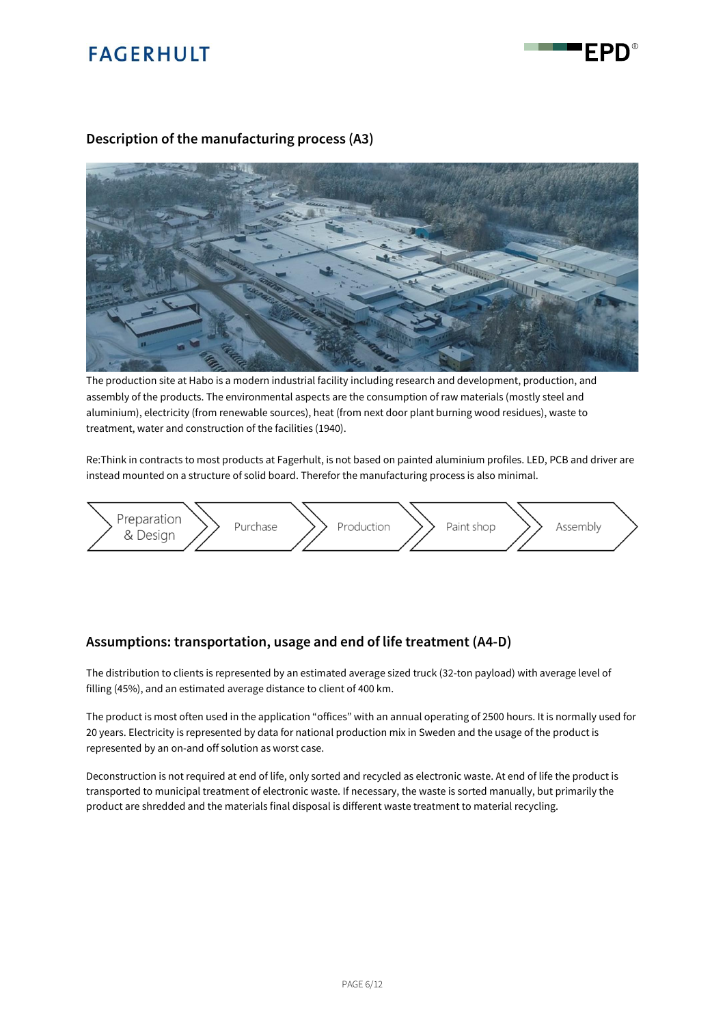



### **Description of the manufacturing process (A3)**



The production site at Habo is a modern industrial facility including research and development, production, and assembly of the products. The environmental aspects are the consumption of raw materials (mostly steel and aluminium), electricity (from renewable sources), heat (from next door plant burning wood residues), waste to treatment, water and construction of the facilities (1940).

Re:Think in contracts to most products at Fagerhult, is not based on painted aluminium profiles. LED, PCB and driver are instead mounted on a structure of solid board. Therefor the manufacturing process is also minimal.



#### **Assumptions: transportation, usage and end of life treatment (A4-D)**

The distribution to clients is represented by an estimated average sized truck (32-ton payload) with average level of filling (45%), and an estimated average distance to client of 400 km.

The product is most often used in the application "offices" with an annual operating of 2500 hours. It is normally used for 20 years. Electricity is represented by data for national production mix in Sweden and the usage of the product is represented by an on-and off solution as worst case.

Deconstruction is not required at end of life, only sorted and recycled as electronic waste. At end of life the product is transported to municipal treatment of electronic waste. If necessary, the waste is sorted manually, but primarily the product are shredded and the materials final disposal is different waste treatment to material recycling.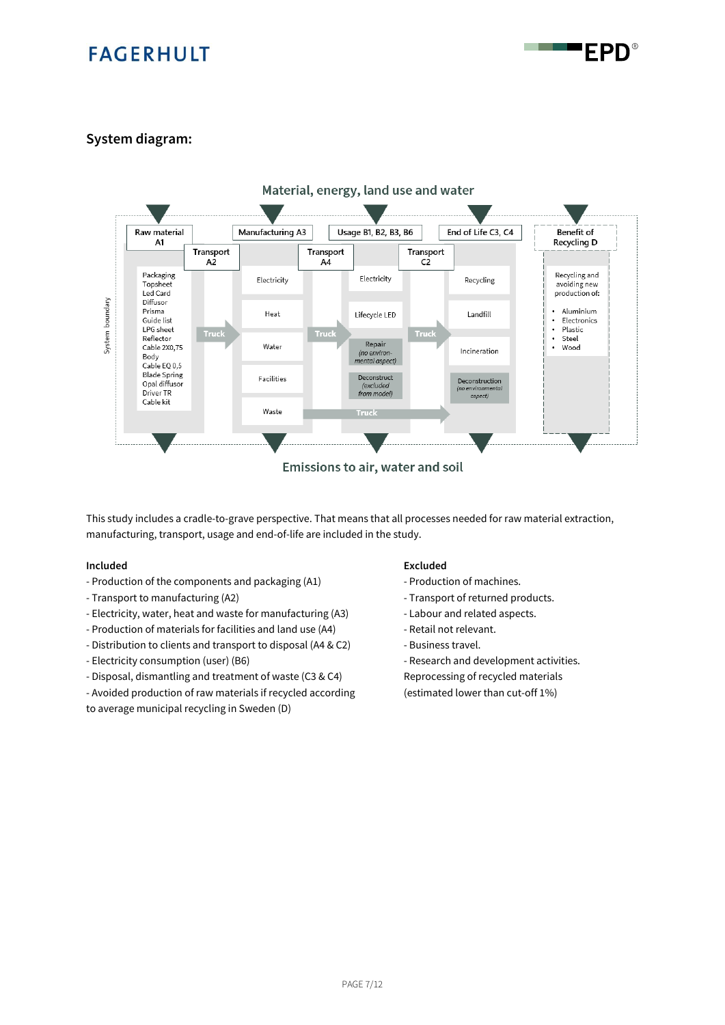FPD

### **System diagram:**



This study includes a cradle-to-grave perspective. That means that all processes needed for raw material extraction, manufacturing, transport, usage and end-of-life are included in the study.

- Production of the components and packaging (A1) Production of machines.
- Transport to manufacturing (A2)  $\overline{\phantom{a}}$  Transport of returned products.
- Electricity, water, heat and waste for manufacturing (A3) Labour and related aspects.
- Production of materials for facilities and land use (A4) Retail not relevant.
- Distribution to clients and transport to disposal (A4 & C2) Business travel.
- 
- Disposal, dismantling and treatment of waste (C3 & C4) Reprocessing of recycled materials
- Avoided production of raw materials if recycled according (estimated lower than cut-off 1%)

to average municipal recycling in Sweden (D)

#### **Included Excluded**

- 
- 
- 
- 
- 
- Electricity consumption (user) (B6) Research and development activities.
	-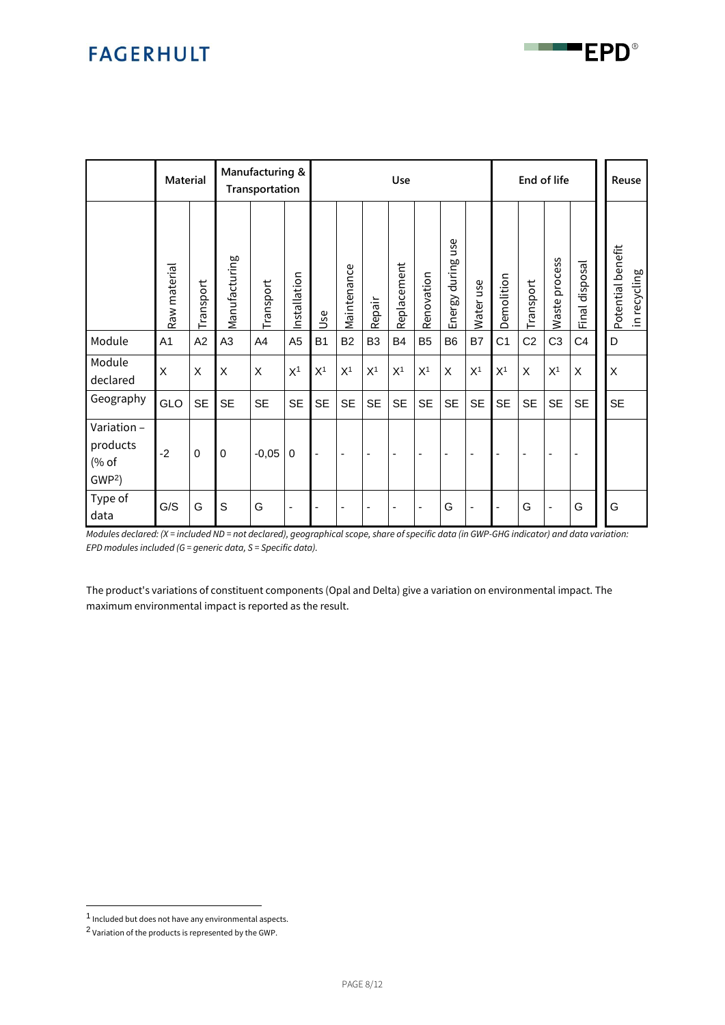|                                                      | <b>Material</b> |             |                | Manufacturing &<br>Transportation |                |                |                          |                          | Use                      |                          |                          |                          | End of life    |                          |                          | Reuse                    |                   |              |
|------------------------------------------------------|-----------------|-------------|----------------|-----------------------------------|----------------|----------------|--------------------------|--------------------------|--------------------------|--------------------------|--------------------------|--------------------------|----------------|--------------------------|--------------------------|--------------------------|-------------------|--------------|
|                                                      | Raw material    | Transport   | Manufacturing  | Transport                         | Installation   | Use            | Maintenance              | Repair                   | Replacement              | Renovation               | use<br>during<br>Energy  | Water use                | Demolition     | Transport                | process<br>Waste         | Final disposal           | Potential benefit | in recycling |
| Module                                               | A1              | A2          | A <sub>3</sub> | A4                                | A <sub>5</sub> | <b>B1</b>      | <b>B2</b>                | B <sub>3</sub>           | B4                       | B <sub>5</sub>           | B <sub>6</sub>           | B7                       | C <sub>1</sub> | C <sub>2</sub>           | C <sub>3</sub>           | C <sub>4</sub>           | D                 |              |
| Module<br>declared                                   | X               | X           | X              | X                                 | X <sup>1</sup> | X <sup>1</sup> | X <sup>1</sup>           | X <sup>1</sup>           | X <sup>1</sup>           | X <sup>1</sup>           | X                        | X <sup>1</sup>           | X <sup>1</sup> | X                        | X <sup>1</sup>           | X                        | $\mathsf X$       |              |
| Geography                                            | GLO             | <b>SE</b>   | <b>SE</b>      | <b>SE</b>                         | <b>SE</b>      | <b>SE</b>      | <b>SE</b>                | <b>SE</b>                | <b>SE</b>                | <b>SE</b>                | <b>SE</b>                | <b>SE</b>                | <b>SE</b>      | <b>SE</b>                | <b>SE</b>                | <b>SE</b>                | <b>SE</b>         |              |
| Variation -<br>products<br>(% of<br>GWP <sup>2</sup> | $-2$            | $\mathbf 0$ | $\mathbf 0$    | $-0,05$                           | $\pmb{0}$      | $\blacksquare$ | $\overline{\phantom{a}}$ | $\overline{\phantom{a}}$ | $\overline{\phantom{a}}$ | $\overline{\phantom{a}}$ | $\overline{\phantom{a}}$ | $\overline{\phantom{a}}$ | $\blacksquare$ | $\overline{\phantom{a}}$ | $\overline{\phantom{a}}$ | $\overline{\phantom{a}}$ |                   |              |
| Type of<br>data                                      | G/S             | G           | S              | G                                 | ä,             | $\blacksquare$ | ٠                        | ۰                        |                          | $\overline{\phantom{a}}$ | G                        | ٠                        |                | G                        | $\overline{\phantom{0}}$ | G                        | G                 |              |

<span id="page-7-0"></span>*Modules declared: (X = included ND = not declared), geographical scope, share of specific data (in GWP-GHG indicator) and data variation: EPD modules included (G = generic data, S = Specific data).* 

The product's variations of constituent components (Opal and Delta) give a variation on environmental impact. The maximum environmental impact is reported as the result.

<sup>1</sup> Included but does not have any environmental aspects.

 $2$  Variation of the products is represented by the GWP.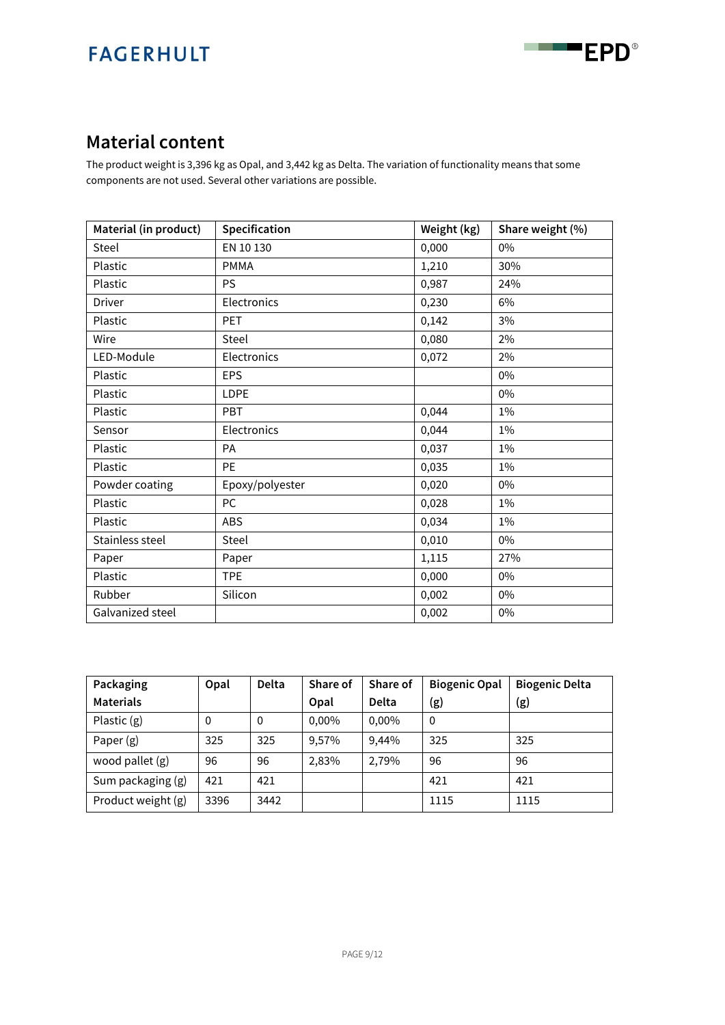

### **Material content**

The product weight is 3,396 kg as Opal, and 3,442 kg as Delta. The variation of functionality means that some components are not used. Several other variations are possible.

| Material (in product) | Specification   | Weight (kg) | Share weight (%) |
|-----------------------|-----------------|-------------|------------------|
| Steel                 | EN 10 130       | 0,000       | 0%               |
| Plastic               | <b>PMMA</b>     | 1,210       | 30%              |
| Plastic               | <b>PS</b>       | 0,987       | 24%              |
| <b>Driver</b>         | Electronics     | 0,230       | 6%               |
| Plastic               | PET             | 0,142       | 3%               |
| Wire                  | Steel           | 0,080       | 2%               |
| LED-Module            | Electronics     | 0,072       | 2%               |
| Plastic               | <b>EPS</b>      |             | 0%               |
| Plastic               | LDPE            |             | $0\%$            |
| Plastic               | PBT             | 0,044       | $1\%$            |
| Sensor                | Electronics     | 0,044       | 1%               |
| Plastic               | PA              | 0,037       | $1\%$            |
| Plastic               | <b>PE</b>       | 0,035       | $1\%$            |
| Powder coating        | Epoxy/polyester | 0,020       | 0%               |
| Plastic               | <b>PC</b>       | 0,028       | $1\%$            |
| Plastic               | <b>ABS</b>      | 0,034       | $1\%$            |
| Stainless steel       | Steel           | 0,010       | 0%               |
| Paper                 | Paper           | 1,115       | 27%              |
| Plastic               | <b>TPE</b>      | 0,000       | $0\%$            |
| Rubber                | Silicon         | 0,002       | 0%               |
| Galvanized steel      |                 | 0,002       | 0%               |

| Packaging          | Opal     | <b>Delta</b> | Share of | Share of     | <b>Biogenic Opal</b> | <b>Biogenic Delta</b> |
|--------------------|----------|--------------|----------|--------------|----------------------|-----------------------|
| <b>Materials</b>   |          |              | Opal     | <b>Delta</b> | (g)                  | (g)                   |
| Plastic $(g)$      | $\Omega$ | 0            | 0,00%    | 0,00%        | $\Omega$             |                       |
| Paper $(g)$        | 325      | 325          | 9,57%    | 9,44%        | 325                  | 325                   |
| wood pallet (g)    | 96       | 96           | 2,83%    | 2,79%        | 96                   | 96                    |
| Sum packaging (g)  | 421      | 421          |          |              | 421                  | 421                   |
| Product weight (g) | 3396     | 3442         |          |              | 1115                 | 1115                  |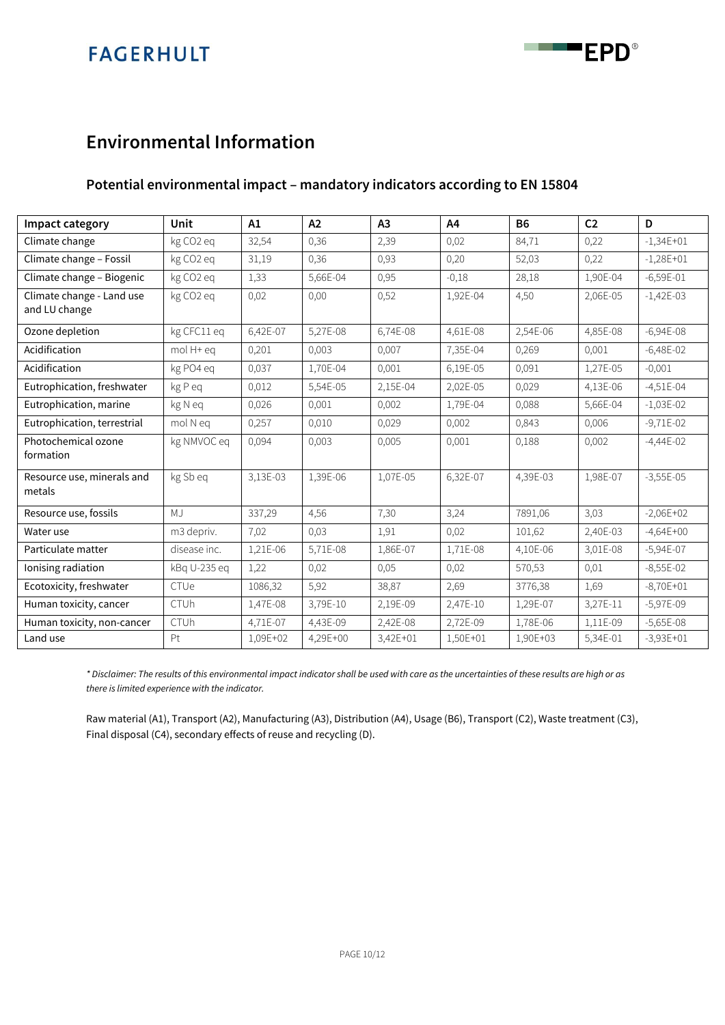

### **Environmental Information**

### **Potential environmental impact – mandatory indicators according to EN 15804**

| Impact category                            | Unit         | A1       | A2       | A3       | A4       | <b>B6</b> | C <sub>2</sub> | D           |
|--------------------------------------------|--------------|----------|----------|----------|----------|-----------|----------------|-------------|
| Climate change                             | kg CO2 eq    | 32,54    | 0,36     | 2,39     | 0,02     | 84,71     | 0,22           | $-1,34E+01$ |
| Climate change - Fossil                    | kg CO2 eq    | 31,19    | 0,36     | 0,93     | 0,20     | 52,03     | 0,22           | $-1,28E+01$ |
| Climate change - Biogenic                  | kg CO2 eq    | 1,33     | 5,66E-04 | 0,95     | $-0,18$  | 28,18     | 1,90E-04       | $-6,59E-01$ |
| Climate change - Land use<br>and LU change | kg CO2 eq    | 0,02     | 0,00     | 0,52     | 1,92E-04 | 4,50      | 2,06E-05       | $-1,42E-03$ |
| Ozone depletion                            | kg CFC11 eq  | 6,42E-07 | 5,27E-08 | 6,74E-08 | 4,61E-08 | 2,54E-06  | 4,85E-08       | $-6,94E-08$ |
| Acidification                              | mol H+ eq    | 0,201    | 0,003    | 0,007    | 7,35E-04 | 0,269     | 0,001          | $-6,48E-02$ |
| Acidification                              | kg PO4 eq    | 0,037    | 1,70E-04 | 0,001    | 6,19E-05 | 0,091     | 1,27E-05       | $-0,001$    |
| Eutrophication, freshwater                 | kg P eq      | 0,012    | 5,54E-05 | 2,15E-04 | 2,02E-05 | 0,029     | 4,13E-06       | $-4,51E-04$ |
| Eutrophication, marine                     | kg N eq      | 0,026    | 0,001    | 0,002    | 1,79E-04 | 0,088     | 5,66E-04       | $-1,03E-02$ |
| Eutrophication, terrestrial                | mol N eq     | 0,257    | 0,010    | 0,029    | 0,002    | 0,843     | 0,006          | $-9,71E-02$ |
| Photochemical ozone<br>formation           | kg NMVOC eq  | 0,094    | 0,003    | 0,005    | 0,001    | 0,188     | 0,002          | $-4,44E-02$ |
| Resource use, minerals and<br>metals       | kg Sb eq     | 3,13E-03 | 1,39E-06 | 1,07E-05 | 6,32E-07 | 4,39E-03  | 1,98E-07       | $-3,55E-05$ |
| Resource use, fossils                      | MJ           | 337,29   | 4,56     | 7,30     | 3,24     | 7891,06   | 3,03           | $-2,06E+02$ |
| Water use                                  | m3 depriv.   | 7,02     | 0,03     | 1,91     | 0,02     | 101,62    | 2,40E-03       | $-4,64E+00$ |
| Particulate matter                         | disease inc. | 1,21E-06 | 5,71E-08 | 1,86E-07 | 1,71E-08 | 4,10E-06  | 3,01E-08       | $-5,94E-07$ |
| Ionising radiation                         | kBq U-235 eq | 1,22     | 0,02     | 0,05     | 0,02     | 570,53    | 0,01           | $-8,55E-02$ |
| Ecotoxicity, freshwater                    | CTUe         | 1086,32  | 5,92     | 38,87    | 2,69     | 3776,38   | 1,69           | $-8,70E+01$ |
| Human toxicity, cancer                     | <b>CTUh</b>  | 1,47E-08 | 3,79E-10 | 2,19E-09 | 2,47E-10 | 1,29E-07  | 3,27E-11       | $-5,97E-09$ |
| Human toxicity, non-cancer                 | CTUh         | 4,71E-07 | 4,43E-09 | 2,42E-08 | 2,72E-09 | 1,78E-06  | 1,11E-09       | $-5,65E-08$ |
| Land use                                   | Pt           | 1,09E+02 | 4,29E+00 | 3,42E+01 | 1,50E+01 | 1,90E+03  | 5,34E-01       | $-3,93E+01$ |

*\* Disclaimer: The results of this environmental impact indicator shall be used with care as the uncertainties of these results are high or as there is limited experience with the indicator.*

Raw material (A1), Transport (A2), Manufacturing (A3), Distribution (A4), Usage (B6), Transport (C2), Waste treatment (C3), Final disposal (C4), secondary effects of reuse and recycling (D).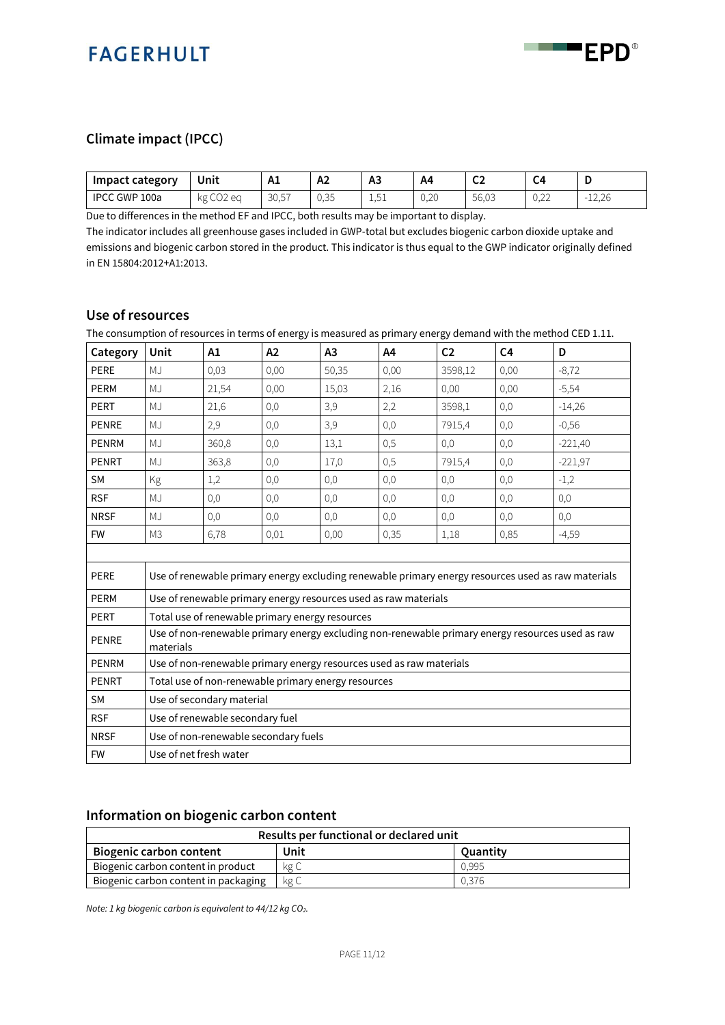

### **Climate impact (IPCC)**

| <b>Impact category</b>    | Unit                          | Δ.<br><b>A</b> | ∆≏<br>r.    | A3                     | A4   | $\sim$<br>ິ         | C4                                     |                    |
|---------------------------|-------------------------------|----------------|-------------|------------------------|------|---------------------|----------------------------------------|--------------------|
| <b>IPCC</b><br>: GWP 100a | $\sim$ $\sim$<br>kg<br>COZ ea | 3057<br>30.5   | 135<br>∪,∪∪ | E <sub>1</sub><br>⊥,∪⊥ | 0,20 | $F \cap R$<br>56,03 | $\sim$ $\sim$<br>$\cup, \angle \angle$ | $-12,26$<br>$\sim$ |

Due to differences in the method EF and IPCC, both results may be important to display.

The indicator includes all greenhouse gases included in GWP-total but excludes biogenic carbon dioxide uptake and emissions and biogenic carbon stored in the product. This indicator is thus equal to the GWP indicator originally defined in EN 15804:2012+A1:2013.

### **Use of resources**

The consumption of resources in terms of energy is measured as primary energy demand with the method CED 1.11.

| Category     | Unit                            | A1                                                  | A2   | A3    | A4                                                                  | C <sub>2</sub> | C <sub>4</sub> | D                                                                                                  |  |
|--------------|---------------------------------|-----------------------------------------------------|------|-------|---------------------------------------------------------------------|----------------|----------------|----------------------------------------------------------------------------------------------------|--|
| PERE         | MJ                              | 0,03                                                | 0,00 | 50,35 | 0,00                                                                | 3598,12        | 0,00           | $-8,72$                                                                                            |  |
| <b>PERM</b>  | MJ                              | 21,54                                               | 0,00 | 15,03 | 2,16                                                                | 0,00           | 0,00           | $-5,54$                                                                                            |  |
| <b>PERT</b>  | MJ                              | 21,6                                                | 0,0  | 3,9   | 2,2                                                                 | 3598,1         | 0,0            | $-14,26$                                                                                           |  |
| <b>PENRE</b> | MJ                              | 2,9                                                 | 0,0  | 3,9   | 0,0                                                                 | 7915,4         | 0,0            | $-0,56$                                                                                            |  |
| <b>PENRM</b> | MJ                              | 360,8                                               | 0,0  | 13,1  | 0,5                                                                 | 0,0            | 0,0            | $-221,40$                                                                                          |  |
| <b>PENRT</b> | MJ                              | 363,8                                               | 0,0  | 17,0  | 0,5                                                                 | 7915,4         | 0,0            | $-221,97$                                                                                          |  |
| <b>SM</b>    | Kg                              | 1,2                                                 | 0,0  | 0,0   | 0,0                                                                 | 0,0            | 0,0            | $-1,2$                                                                                             |  |
| <b>RSF</b>   | MJ                              | 0,0                                                 | 0,0  | 0,0   | 0,0                                                                 | 0,0            | 0,0            | 0,0                                                                                                |  |
| <b>NRSF</b>  | MJ                              | 0,0                                                 | 0,0  | 0,0   | 0,0                                                                 | $_{0,0}$       | 0,0            | 0,0                                                                                                |  |
| <b>FW</b>    | M <sub>3</sub>                  | 6,78                                                | 0.01 | 0,00  | 0,35                                                                | 1,18           | 0,85           | $-4,59$                                                                                            |  |
|              |                                 |                                                     |      |       |                                                                     |                |                |                                                                                                    |  |
| PERE         |                                 |                                                     |      |       |                                                                     |                |                | Use of renewable primary energy excluding renewable primary energy resources used as raw materials |  |
| <b>PERM</b>  |                                 |                                                     |      |       | Use of renewable primary energy resources used as raw materials     |                |                |                                                                                                    |  |
| <b>PERT</b>  |                                 | Total use of renewable primary energy resources     |      |       |                                                                     |                |                |                                                                                                    |  |
| <b>PENRE</b> | materials                       |                                                     |      |       |                                                                     |                |                | Use of non-renewable primary energy excluding non-renewable primary energy resources used as raw   |  |
| <b>PENRM</b> |                                 |                                                     |      |       | Use of non-renewable primary energy resources used as raw materials |                |                |                                                                                                    |  |
| <b>PENRT</b> |                                 | Total use of non-renewable primary energy resources |      |       |                                                                     |                |                |                                                                                                    |  |
| <b>SM</b>    | Use of secondary material       |                                                     |      |       |                                                                     |                |                |                                                                                                    |  |
| <b>RSF</b>   | Use of renewable secondary fuel |                                                     |      |       |                                                                     |                |                |                                                                                                    |  |
| <b>NRSF</b>  |                                 | Use of non-renewable secondary fuels                |      |       |                                                                     |                |                |                                                                                                    |  |
| <b>FW</b>    |                                 | Use of net fresh water                              |      |       |                                                                     |                |                |                                                                                                    |  |

### **Information on biogenic carbon content**

| Results per functional or declared unit |      |          |  |  |  |  |  |
|-----------------------------------------|------|----------|--|--|--|--|--|
| <b>Biogenic carbon content</b>          | Unit | Ouantity |  |  |  |  |  |
| Biogenic carbon content in product      | kg C | 0.995    |  |  |  |  |  |
| Biogenic carbon content in packaging    | kg C | 0.376    |  |  |  |  |  |

*Note: 1 kg biogenic carbon is equivalent to 44/12 kg CO2.*